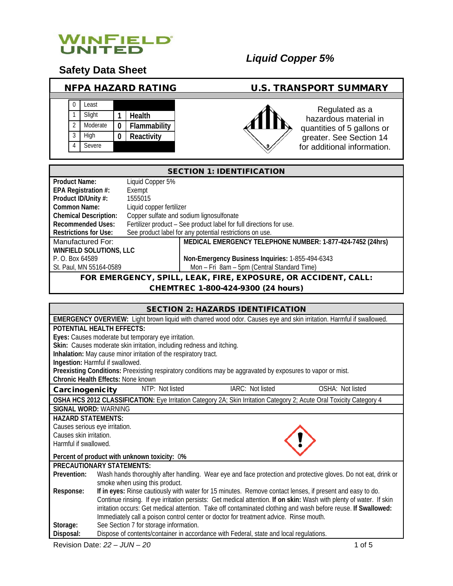

# **Safety Data Sheet**

| <b>NFPA HAZARD RATING</b>                                                                                                    | <b>U.S. TRANSPORT SUMMARY</b>                                                                                                                    |  |
|------------------------------------------------------------------------------------------------------------------------------|--------------------------------------------------------------------------------------------------------------------------------------------------|--|
| Least<br>$\Omega$<br>Slight<br><b>Health</b><br>Moderate<br>2<br>Flammability<br>0<br>High<br>3<br>Reactivity<br>0<br>Severe | Regulated as a<br>hazardous material in<br>quantities of 5 gallons or<br>greater. See Section 14<br>for additional information.<br>$\mathcal{S}$ |  |

### SECTION 1: IDENTIFICATION

| <b>Product Name:</b>           | Liquid Copper 5%                                                    |                                                            |  |
|--------------------------------|---------------------------------------------------------------------|------------------------------------------------------------|--|
| EPA Registration #:            | Exempt                                                              |                                                            |  |
| Product ID/Unity #:            | 1555015                                                             |                                                            |  |
| Common Name:                   | Liquid copper fertilizer                                            |                                                            |  |
| <b>Chemical Description:</b>   |                                                                     | Copper sulfate and sodium lignosulfonate                   |  |
| Recommended Uses:              | Fertilizer product - See product label for full directions for use. |                                                            |  |
| <b>Restrictions for Use:</b>   |                                                                     | See product label for any potential restrictions on use.   |  |
| Manufactured For:              |                                                                     | MEDICAL EMERGENCY TELEPHONE NUMBER: 1-877-424-7452 (24hrs) |  |
| <b>WINFIELD SOLUTIONS, LLC</b> |                                                                     |                                                            |  |
| P. O. Box 64589                |                                                                     | Non-Emergency Business Inquiries: 1-855-494-6343           |  |
| St. Paul, MN 55164-0589        |                                                                     | Mon - Fri 8am - 5pm (Central Standard Time)                |  |
|                                | FOR EMERGENCY, SPILL, LEAK, FIRE, EXPOSURE, OR ACCIDENT, CALL:      |                                                            |  |

# CHEMTREC 1-800-424-9300 (24 hours)

| <b>SECTION 2: HAZARDS IDENTIFICATION</b>                                                                                      |  |  |
|-------------------------------------------------------------------------------------------------------------------------------|--|--|
| EMERGENCY OVERVIEW: Light brown liquid with charred wood odor. Causes eye and skin irritation. Harmful if swallowed.          |  |  |
| POTENTIAL HEALTH FFFFCTS:                                                                                                     |  |  |
| Eyes: Causes moderate but temporary eye irritation.                                                                           |  |  |
| Skin: Causes moderate skin irritation, including redness and itching.                                                         |  |  |
| Inhalation: May cause minor irritation of the respiratory tract.                                                              |  |  |
| Ingestion: Harmful if swallowed.                                                                                              |  |  |
| Preexisting Conditions: Preexisting respiratory conditions may be aggravated by exposures to vapor or mist.                   |  |  |
| Chronic Health Effects: None known                                                                                            |  |  |
| NTP: Not listed<br>IARC: Not listed<br>OSHA: Not listed<br>Carcinogenicity                                                    |  |  |
| OSHA HCS 2012 CLASSIFICATION: Eye Irritation Category 2A; Skin Irritation Category 2; Acute Oral Toxicity Category 4          |  |  |
| SIGNAL WORD: WARNING                                                                                                          |  |  |
| <b>HAZARD STATEMENTS:</b>                                                                                                     |  |  |
| Causes serious eye irritation.                                                                                                |  |  |
| Causes skin irritation.                                                                                                       |  |  |
| Harmful if swallowed.                                                                                                         |  |  |
| Percent of product with unknown toxicity: 0%                                                                                  |  |  |
| PRECAUTIONARY STATEMENTS:                                                                                                     |  |  |
| Wash hands thoroughly after handling. Wear eye and face protection and protective gloves. Do not eat, drink or<br>Prevention: |  |  |
| smoke when using this product.                                                                                                |  |  |
| If in eyes: Rinse cautiously with water for 15 minutes. Remove contact lenses, if present and easy to do.<br>Response:        |  |  |
| Continue rinsing. If eye irritation persists: Get medical attention. If on skin: Wash with plenty of water. If skin           |  |  |
| irritation occurs: Get medical attention. Take off contaminated clothing and wash before reuse. If Swallowed:                 |  |  |
| Immediately call a poison control center or doctor for treatment advice. Rinse mouth.                                         |  |  |
| See Section 7 for storage information.<br>Storage:                                                                            |  |  |
| Dispose of contents/container in accordance with Federal, state and local regulations.<br>Disposal:                           |  |  |

Revision Date: *22 – JUN – 20* 1 of 5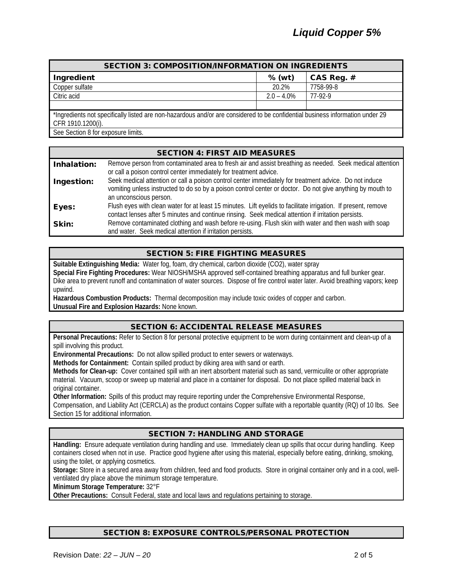| <b>SECTION 3: COMPOSITION/INFORMATION ON INGREDIENTS</b>                                                                      |               |            |
|-------------------------------------------------------------------------------------------------------------------------------|---------------|------------|
| Ingredient                                                                                                                    | % (wt)        | CAS Reg. # |
| Copper sulfate                                                                                                                | 20.2%         | 7758-99-8  |
| Citric acid                                                                                                                   | $2.0 - 4.0\%$ | 77-92-9    |
|                                                                                                                               |               |            |
| *Ingredients not specifically listed are non-hazardous and/or are considered to be confidential business information under 29 |               |            |
| CFR 1910.1200(i).                                                                                                             |               |            |
| See Section 8 for exposure limits.                                                                                            |               |            |

SECTION 4: FIRST AID MEASURES Inhalation: Remove person from contaminated area to fresh air and assist breathing as needed. Seek medical attention or call a poison control center immediately for treatment advice. Ingestion: Seek medical attention or call a poison control center immediately for treatment advice. Do not induce vomiting unless instructed to do so by a poison control center or doctor. Do not give anything by mouth to an unconscious person. Eyes: Flush eyes with clean water for at least 15 minutes. Lift eyelids to facilitate irrigation. If present, remove contact lenses after 5 minutes and continue rinsing. Seek medical attention if irritation persists. **Skin:** Remove contaminated clothing and wash before re-using. Flush skin with water and then wash with soap and water. Seek medical attention if irritation persists.

# SECTION 5: FIRE FIGHTING MEASURES

**Suitable Extinguishing Media:** Water fog, foam, dry chemical, carbon dioxide (CO2), water spray **Special Fire Fighting Procedures:** Wear NIOSH/MSHA approved self-contained breathing apparatus and full bunker gear. Dike area to prevent runoff and contamination of water sources. Dispose of fire control water later. Avoid breathing vapors; keep upwind.

**Hazardous Combustion Products:** Thermal decomposition may include toxic oxides of copper and carbon. **Unusual Fire and Explosion Hazards:** None known.

#### SECTION 6: ACCIDENTAL RELEASE MEASURES

**Personal Precautions:** Refer to Section 8 for personal protective equipment to be worn during containment and clean-up of a spill involving this product.

**Environmental Precautions:** Do not allow spilled product to enter sewers or waterways.

**Methods for Containment:** Contain spilled product by diking area with sand or earth.

**Methods for Clean-up:** Cover contained spill with an inert absorbent material such as sand, vermiculite or other appropriate material. Vacuum, scoop or sweep up material and place in a container for disposal. Do not place spilled material back in original container.

**Other Information:** Spills of this product may require reporting under the Comprehensive Environmental Response,

Compensation, and Liability Act (CERCLA) as the product contains Copper sulfate with a reportable quantity (RQ) of 10 lbs. See Section 15 for additional information.

#### SECTION 7: HANDLING AND STORAGE

**Handling:** Ensure adequate ventilation during handling and use. Immediately clean up spills that occur during handling. Keep containers closed when not in use. Practice good hygiene after using this material, especially before eating, drinking, smoking, using the toilet, or applying cosmetics.

**Storage:** Store in a secured area away from children, feed and food products. Store in original container only and in a cool, wellventilated dry place above the minimum storage temperature.

**Minimum Storage Temperature:** 32°F

**Other Precautions:** Consult Federal, state and local laws and regulations pertaining to storage.

#### SECTION 8: EXPOSURE CONTROLS/PERSONAL PROTECTION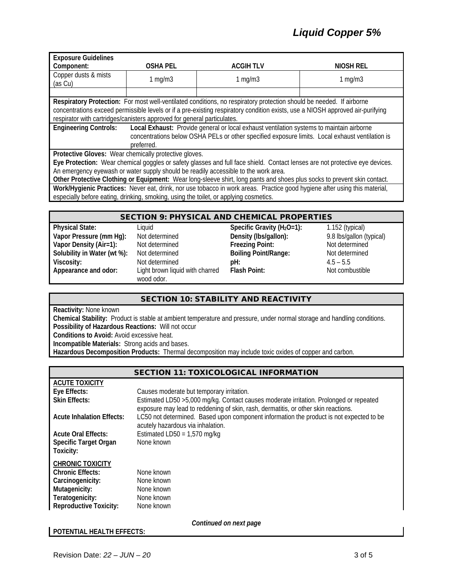| <b>Exposure Guidelines</b>                                                          |                                                                                                 |                                                                                                                                |                  |
|-------------------------------------------------------------------------------------|-------------------------------------------------------------------------------------------------|--------------------------------------------------------------------------------------------------------------------------------|------------------|
| Component:                                                                          | <b>OSHA PEL</b>                                                                                 | <b>ACGIH TLV</b>                                                                                                               | <b>NIOSH REL</b> |
| Copper dusts & mists<br>(as Cu)                                                     | $1$ mg/m $3$                                                                                    | $1$ mg/m $3$                                                                                                                   | 1 mg/m $3$       |
|                                                                                     |                                                                                                 |                                                                                                                                |                  |
|                                                                                     |                                                                                                 | Respiratory Protection: For most well-ventilated conditions, no respiratory protection should be needed. If airborne           |                  |
|                                                                                     |                                                                                                 | concentrations exceed permissible levels or if a pre-existing respiratory condition exists, use a NIOSH approved air-purifying |                  |
| respirator with cartridges/canisters approved for general particulates.             |                                                                                                 |                                                                                                                                |                  |
| <b>Engineering Controls:</b>                                                        |                                                                                                 | Local Exhaust: Provide general or local exhaust ventilation systems to maintain airborne                                       |                  |
|                                                                                     | concentrations below OSHA PELs or other specified exposure limits. Local exhaust ventilation is |                                                                                                                                |                  |
|                                                                                     | preferred.                                                                                      |                                                                                                                                |                  |
| Protective Gloves: Wear chemically protective gloves.                               |                                                                                                 |                                                                                                                                |                  |
|                                                                                     |                                                                                                 | Eye Protection: Wear chemical goggles or safety glasses and full face shield. Contact lenses are not protective eye devices.   |                  |
| An emergency eyewash or water supply should be readily accessible to the work area. |                                                                                                 |                                                                                                                                |                  |
|                                                                                     |                                                                                                 | Other Protective Clothing or Equipment: Wear long-sleeve shirt, long pants and shoes plus socks to prevent skin contact.       |                  |
|                                                                                     |                                                                                                 | Work/Hygienic Practices: Never eat, drink, nor use tobacco in work areas. Practice good hygiene after using this material,     |                  |
|                                                                                     |                                                                                                 | especially before eating, drinking, smoking, using the toilet, or applying cosmetics.                                          |                  |

#### SECTION 9: PHYSICAL AND CHEMICAL PROPERTIES

| <b>Physical State:</b>      | Liauid                                        | Specific Gravity ( $H_2O=1$ ): | $1.152$ (typical)        |
|-----------------------------|-----------------------------------------------|--------------------------------|--------------------------|
| Vapor Pressure (mm Hg):     | Not determined                                | Density (Ibs/gallon):          | 9.8 lbs/gallon (typical) |
| Vapor Density (Air=1):      | Not determined                                | <b>Freezing Point:</b>         | Not determined           |
| Solubility in Water (wt %): | Not determined                                | <b>Boiling Point/Range:</b>    | Not determined           |
| Viscosity:                  | Not determined                                | pH:                            | $4.5 - 5.5$              |
| Appearance and odor:        | Light brown liquid with charred<br>wood odor. | <b>Flash Point:</b>            | Not combustible          |

#### SECTION 10: STABILITY AND REACTIVITY

**Reactivity:** None known

**Chemical Stability:** Product is stable at ambient temperature and pressure, under normal storage and handling conditions. **Possibility of Hazardous Reactions:** Will not occur

**Conditions to Avoid:** Avoid excessive heat.

**Incompatible Materials:** Strong acids and bases.

**Hazardous Decomposition Products:** Thermal decomposition may include toxic oxides of copper and carbon.

## SECTION 11: TOXICOLOGICAL INFORMATION

| <b>ACUTE TOXICITY</b>            |                                                                                                                                                                               |
|----------------------------------|-------------------------------------------------------------------------------------------------------------------------------------------------------------------------------|
| Eye Effects:                     | Causes moderate but temporary irritation.                                                                                                                                     |
| <b>Skin Effects:</b>             | Estimated LD50 > 5,000 mg/kg. Contact causes moderate irritation. Prolonged or repeated<br>exposure may lead to reddening of skin, rash, dermatitis, or other skin reactions. |
| <b>Acute Inhalation Effects:</b> | LC50 not determined. Based upon component information the product is not expected to be<br>acutely hazardous via inhalation.                                                  |
| <b>Acute Oral Effects:</b>       | Estimated LD50 = $1,570$ mg/kg                                                                                                                                                |
| <b>Specific Target Organ</b>     | None known                                                                                                                                                                    |
| Toxicity:                        |                                                                                                                                                                               |
| <b>CHRONIC TOXICITY</b>          |                                                                                                                                                                               |
| <b>Chronic Effects:</b>          | None known                                                                                                                                                                    |
|                                  |                                                                                                                                                                               |
| Carcinogenicity:                 | None known                                                                                                                                                                    |
| Mutagenicity:                    | None known                                                                                                                                                                    |
| Teratogenicity:                  | None known                                                                                                                                                                    |
| <b>Reproductive Toxicity:</b>    | None known                                                                                                                                                                    |

#### **POTENTIAL HEALTH EFFECTS:**

*Continued on next page*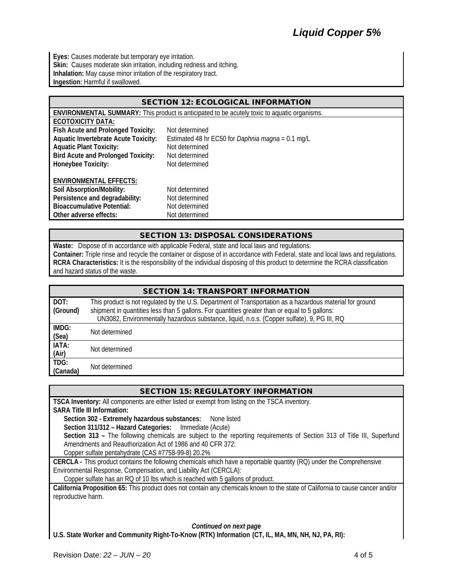**Eyes:** Causes moderate but temporary eye irritation. **Skin:** Causes moderate skin irritation, including redness and itching. **Inhalation:** May cause minor irritation of the respiratory tract. **Ingestion:** Harmful if swallowed.

| <b>SECTION 12: ECOLOGICAL INFORMATION</b>   |                                                                                                     |  |
|---------------------------------------------|-----------------------------------------------------------------------------------------------------|--|
|                                             | <b>ENVIRONMENTAL SUMMARY:</b> This product is anticipated to be acutely toxic to aquatic organisms. |  |
| <b>ECOTOXICITY DATA:</b>                    |                                                                                                     |  |
| Fish Acute and Prolonged Toxicity:          | Not determined                                                                                      |  |
| <b>Aquatic Invertebrate Acute Toxicity:</b> | Estimated 48 hr EC50 for Daphnia magna = $0.1$ mg/L                                                 |  |
| <b>Aquatic Plant Toxicity:</b>              | Not determined                                                                                      |  |
| <b>Bird Acute and Prolonged Toxicity:</b>   | Not determined                                                                                      |  |
| Honeybee Toxicity:                          | Not determined                                                                                      |  |
|                                             |                                                                                                     |  |
| <b>ENVIRONMENTAL EFFECTS:</b>               |                                                                                                     |  |
| Soil Absorption/Mobility:                   | Not determined                                                                                      |  |
| Persistence and degradability:              | Not determined                                                                                      |  |
| <b>Bioaccumulative Potential:</b>           | Not determined                                                                                      |  |
| Other adverse effects:                      | Not determined                                                                                      |  |

#### SECTION 13: DISPOSAL CONSIDERATIONS

**Waste:** Dispose of in accordance with applicable Federal, state and local laws and regulations. **Container:** Triple rinse and recycle the container or dispose of in accordance with Federal, state and local laws and regulations. **RCRA Characteristics:** It is the responsibility of the individual disposing of this product to determine the RCRA classification and hazard status of the waste.

| <b>SECTION 14: TRANSPORT INFORMATION</b> |                                                                                                                                                                                                                                                                                                            |  |
|------------------------------------------|------------------------------------------------------------------------------------------------------------------------------------------------------------------------------------------------------------------------------------------------------------------------------------------------------------|--|
| DOT:<br>(Ground)                         | This product is not regulated by the U.S. Department of Transportation as a hazardous material for ground<br>shipment in quantities less than 5 gallons. For quantities greater than or equal to 5 gallons:<br>UN3082, Environmentally hazardous substance, liquid, n.o.s. (Copper sulfate), 9, PG III, RQ |  |
| IMDG:<br>(Sea)                           | Not determined                                                                                                                                                                                                                                                                                             |  |
| IATA:<br>(Air)                           | Not determined                                                                                                                                                                                                                                                                                             |  |
| TDG:<br>(Canada)                         | Not determined                                                                                                                                                                                                                                                                                             |  |

# SECTION 15: REGULATORY INFORMATION

**TSCA Inventory:** All components are either listed or exempt from listing on the TSCA inventory. **SARA Title III Information:**

**Section 302 - Extremely hazardous substances:** None listed

**Section 311/312 – Hazard Categories:** Immediate (Acute)

Section 313 - The following chemicals are subject to the reporting requirements of Section 313 of Title III, Superfund Amendments and Reauthorization Act of 1986 and 40 CFR 372:

Copper sulfate pentahydrate (CAS #7758-99-8) 20.2%

**CERCLA -** This product contains the following chemicals which have a reportable quantity (RQ) under the Comprehensive Environmental Response, Compensation, and Liability Act (CERCLA):

Copper sulfate has an RQ of 10 lbs which is reached with 5 gallons of product.

**California Proposition 65:** This product does not contain any chemicals known to the state of California to cause cancer and/or reproductive harm.

#### *Continued on next page*

**U.S. State Worker and Community Right-To-Know (RTK) Information (CT, IL, MA, MN, NH, NJ, PA, RI):**